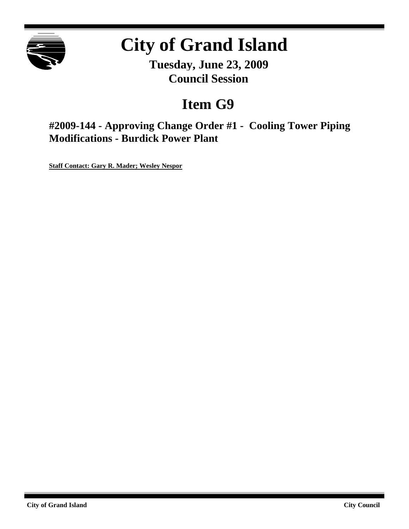

# **City of Grand Island**

**Tuesday, June 23, 2009 Council Session**

## **Item G9**

**#2009-144 - Approving Change Order #1 - Cooling Tower Piping Modifications - Burdick Power Plant**

**Staff Contact: Gary R. Mader; Wesley Nespor**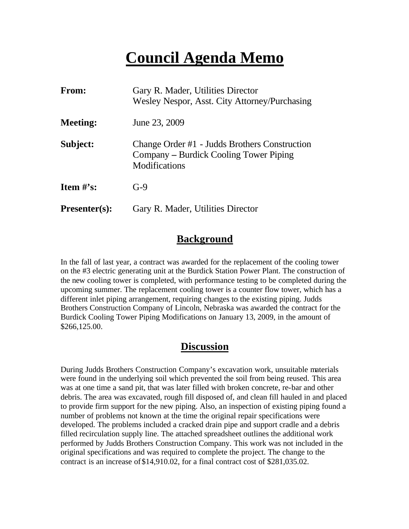## **Council Agenda Memo**

| <b>From:</b>         | Gary R. Mader, Utilities Director<br>Wesley Nespor, Asst. City Attorney/Purchasing                              |  |  |
|----------------------|-----------------------------------------------------------------------------------------------------------------|--|--|
| <b>Meeting:</b>      | June 23, 2009                                                                                                   |  |  |
| Subject:             | Change Order #1 - Judds Brothers Construction<br>Company – Burdick Cooling Tower Piping<br><b>Modifications</b> |  |  |
| Item $\#$ 's:        | $G-9$                                                                                                           |  |  |
| <b>Presenter(s):</b> | Gary R. Mader, Utilities Director                                                                               |  |  |

#### **Background**

In the fall of last year, a contract was awarded for the replacement of the cooling tower on the #3 electric generating unit at the Burdick Station Power Plant. The construction of the new cooling tower is completed, with performance testing to be completed during the upcoming summer. The replacement cooling tower is a counter flow tower, which has a different inlet piping arrangement, requiring changes to the existing piping. Judds Brothers Construction Company of Lincoln, Nebraska was awarded the contract for the Burdick Cooling Tower Piping Modifications on January 13, 2009, in the amount of \$266,125.00.

#### **Discussion**

During Judds Brothers Construction Company's excavation work, unsuitable materials were found in the underlying soil which prevented the soil from being reused. This area was at one time a sand pit, that was later filled with broken concrete, re-bar and other debris. The area was excavated, rough fill disposed of, and clean fill hauled in and placed to provide firm support for the new piping. Also, an inspection of existing piping found a number of problems not known at the time the original repair specifications were developed. The problems included a cracked drain pipe and support cradle and a debris filled recirculation supply line. The attached spreadsheet outlines the additional work performed by Judds Brothers Construction Company. This work was not included in the original specifications and was required to complete the project. The change to the contract is an increase of \$14,910.02, for a final contract cost of \$281,035.02.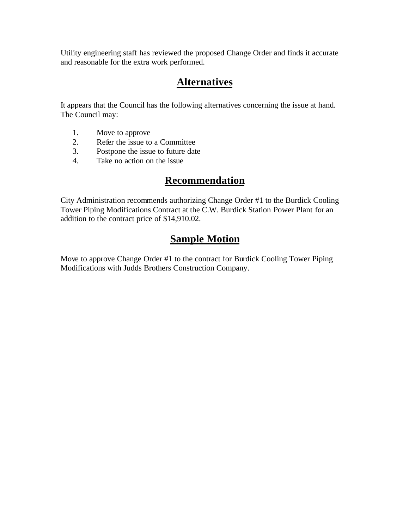Utility engineering staff has reviewed the proposed Change Order and finds it accurate and reasonable for the extra work performed.

## **Alternatives**

It appears that the Council has the following alternatives concerning the issue at hand. The Council may:

- 1. Move to approve
- 2. Refer the issue to a Committee<br>3. Postpone the issue to future date
- Postpone the issue to future date
- 4. Take no action on the issue

### **Recommendation**

City Administration recommends authorizing Change Order #1 to the Burdick Cooling Tower Piping Modifications Contract at the C.W. Burdick Station Power Plant for an addition to the contract price of \$14,910.02.

## **Sample Motion**

Move to approve Change Order #1 to the contract for Burdick Cooling Tower Piping Modifications with Judds Brothers Construction Company.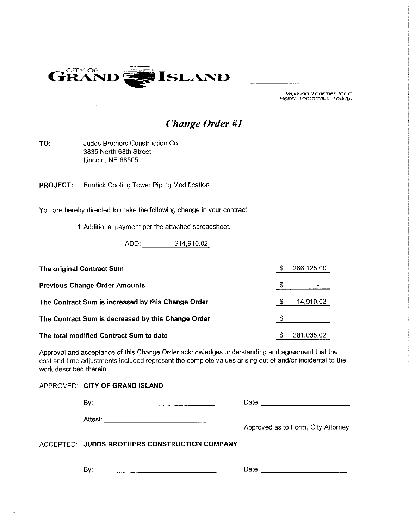

Working Together for a<br>Better Tomorrow. Today.

### **Change Order #1**

TO: Judds Brothers Construction Co. 3835 North 68th Street Lincoln, NE 68505

Burdick Cooling Tower Piping Modification **PROJECT:** 

You are hereby directed to make the following change in your contract:

1 Additional payment per the attached spreadsheet.

ADD: \$14,910.02

| The original Contract Sum                          |   | 266,125.00 |
|----------------------------------------------------|---|------------|
| <b>Previous Change Order Amounts</b>               |   | ۰          |
| The Contract Sum is increased by this Change Order | S | 14,910.02  |
| The Contract Sum is decreased by this Change Order |   |            |
| The total modified Contract Sum to date            | S | 281,035.02 |

Approval and acceptance of this Change Order acknowledges understanding and agreement that the cost and time adjustments included represent the complete values arising out of and/or incidental to the work described therein.

APPROVED: CITY OF GRAND ISLAND

|         | Date                               |
|---------|------------------------------------|
| Attest: | Approved as to Form, City Attorney |

ACCEPTED: JUDDS BROTHERS CONSTRUCTION COMPANY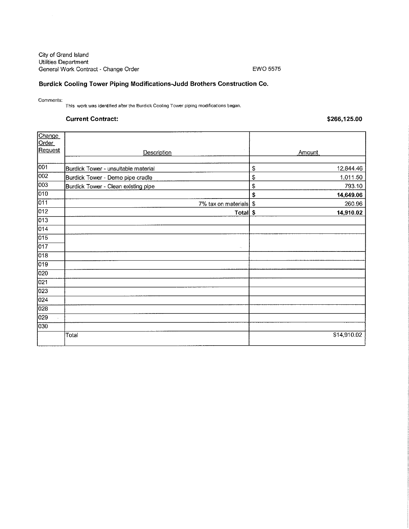City of Grand Island Utilities Department General Work Contract - Change Order

#### EWO 5575

#### Burdick Cooling Tower Piping Modifications-Judd Brothers Construction Co.

Comments:

This work was identified after the Burdick Cooling Tower piping modifications began.

#### **Current Contract:**

\$266,125.00

| Change           |                                     |                 |  |
|------------------|-------------------------------------|-----------------|--|
| Order<br>Request |                                     |                 |  |
|                  | Description                         | Amount          |  |
| 001              | Burdick Tower - unsuitable material | 12,844.46<br>\$ |  |
| $\overline{002}$ | Burdick Tower - Demo pipe cradle    | \$<br>1,011.50  |  |
| $\overline{003}$ | Burdick Tower - Clean existing pipe | \$<br>793.10    |  |
| 010              |                                     | \$<br>14,649.06 |  |
| $\overline{011}$ | 7% tax on materials \$              | 260.96          |  |
| 012              | Total \$                            | 14,910.02       |  |
| 013              |                                     |                 |  |
| 014              |                                     |                 |  |
| $\overline{015}$ |                                     |                 |  |
| 017              | $\sim$                              |                 |  |
| $\overline{018}$ |                                     |                 |  |
| 019              |                                     |                 |  |
| 020              |                                     |                 |  |
| $\overline{021}$ |                                     |                 |  |
| 023              |                                     |                 |  |
| 024              |                                     |                 |  |
| 028              |                                     |                 |  |
| 029              |                                     |                 |  |
| 030              |                                     |                 |  |
|                  | Total                               | \$14,910.02     |  |